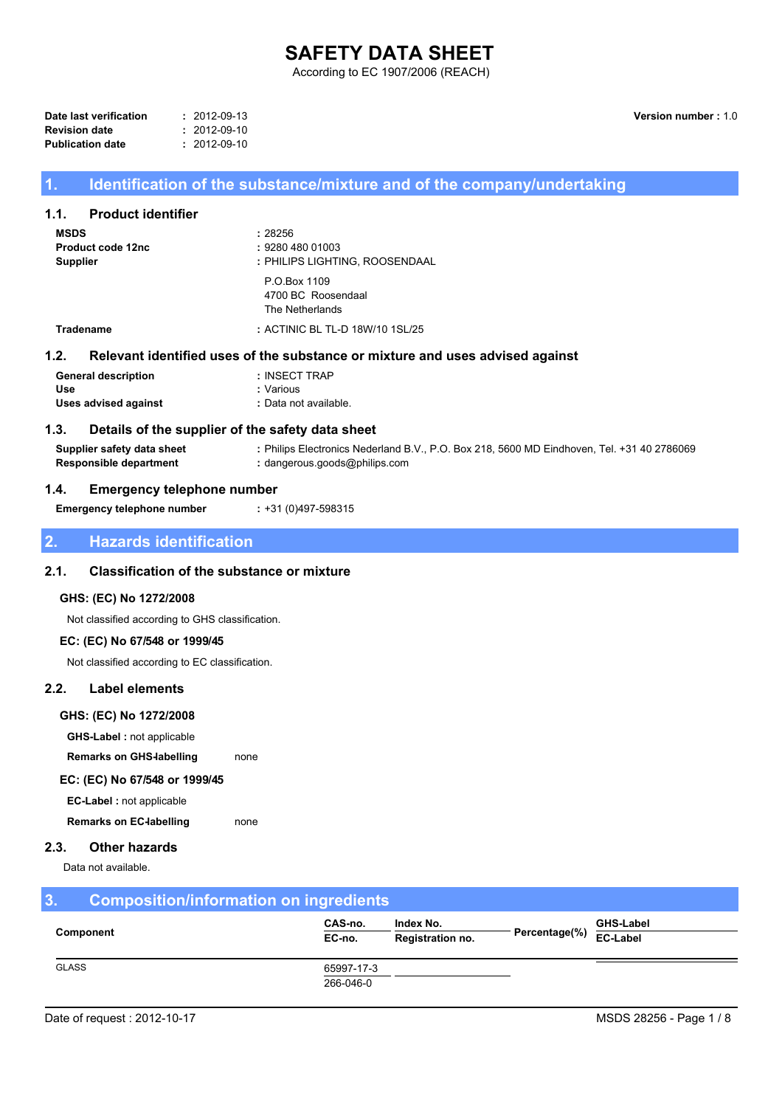# **SAFETY DATA SHEET**

According to EC 1907/2006 (REACH)

| Date last verification  | $: 2012 - 09 - 13$ |
|-------------------------|--------------------|
| <b>Revision date</b>    | $: 2012 - 09 - 10$ |
| <b>Publication date</b> | $: 2012 - 09 - 10$ |

Version number: 1.0

# Identification of the substance/mixture and of the company/undertaking

#### $1.1.$ **Product identifier**

 $\overline{1}$ .

| <b>MSDS</b><br><b>Supplier</b> | Product code 12nc | : 28256<br>: 9280 480 01003<br>: PHILIPS LIGHTING, ROOSENDAAL |  |  |
|--------------------------------|-------------------|---------------------------------------------------------------|--|--|
|                                |                   | P.O.Box 1109<br>4700 BC Roosendaal<br>The Netherlands         |  |  |
|                                | <b>Tradename</b>  | : ACTINIC BL TL-D 18W/10 1SL/25                               |  |  |
| l.2.                           |                   | Relevant identified uses of the substance or mixture and      |  |  |

### $\overline{\mathbf{1}}$ uses advised against

| <b>General description</b> | : INSECT TRAP         |
|----------------------------|-----------------------|
| Use                        | : Various             |
| Uses advised against       | : Data not available. |

#### $1.3.$ Details of the supplier of the safety data sheet

Supplier safety data sheet : Philips Electronics Nederland B.V., P.O. Box 218, 5600 MD Eindhoven, Tel. +31 40 2786069 **Responsible department** : dangerous.goods@philips.com

#### $1.4.$ **Emergency telephone number**

**Emergency telephone number** 

: +31 (0)497-598315

### $\overline{2}$ **Hazards identification**

#### $2.1.$ **Classification of the substance or mixture**

### GHS: (EC) No 1272/2008

Not classified according to GHS classification.

# EC: (EC) No 67/548 or 1999/45

Not classified according to EC classification.

#### $2.2.$ **Label elements**

### GHS: (EC) No 1272/2008

**GHS-Label : not applicable** 

**Remarks on GHS-labelling** none

## EC: (EC) No 67/548 or 1999/45

EC-Label: not applicable

**Remarks on EC-labelling** none

#### $2.3.$ **Other hazards**

Data not available.

#### $\overline{3}$ . **Composition/information on ingredients** CAS-no. Index No. **GHS-Label** Component Percentage(%)  $EC-no.$ Registration no. EC-Label **GLASS** 65997-17-3

266-046-0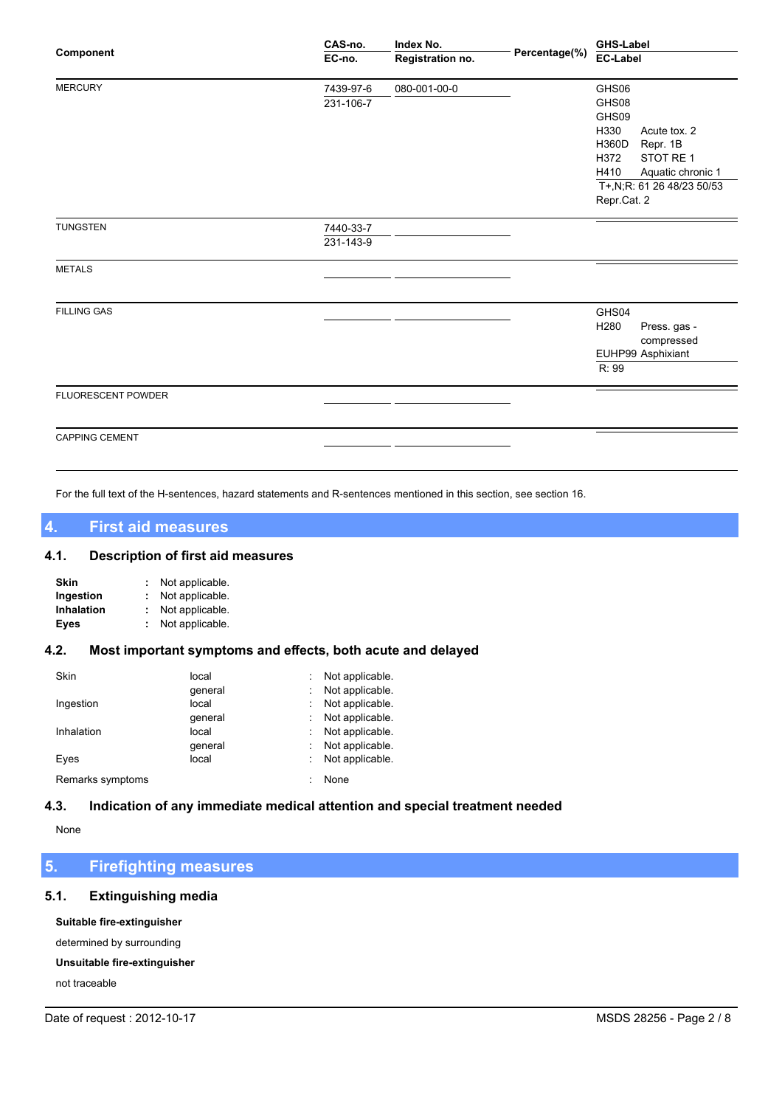|                       | CAS-no.   | Index No.        |               | <b>GHS-Label</b>                               |
|-----------------------|-----------|------------------|---------------|------------------------------------------------|
| Component             | EC-no.    | Registration no. | Percentage(%) | <b>EC-Label</b>                                |
| <b>MERCURY</b>        | 7439-97-6 | 080-001-00-0     |               | GHS06                                          |
|                       | 231-106-7 |                  |               | GHS08                                          |
|                       |           |                  |               | GHS09                                          |
|                       |           |                  |               | H330<br>Acute tox. 2                           |
|                       |           |                  |               | H360D<br>Repr. 1B                              |
|                       |           |                  |               | H372<br>STOT RE 1                              |
|                       |           |                  |               | H410<br>Aquatic chronic 1                      |
|                       |           |                  |               | T+,N;R: 61 26 48/23 50/53                      |
|                       |           |                  |               | Repr.Cat. 2                                    |
| <b>TUNGSTEN</b>       | 7440-33-7 |                  |               |                                                |
|                       | 231-143-9 |                  |               |                                                |
| <b>METALS</b>         |           |                  |               |                                                |
|                       |           |                  |               |                                                |
| <b>FILLING GAS</b>    |           |                  |               | GHS04                                          |
|                       |           |                  |               | H <sub>280</sub><br>Press. gas -<br>compressed |
|                       |           |                  |               | EUHP99 Asphixiant                              |
|                       |           |                  |               | R: 99                                          |
| FLUORESCENT POWDER    |           |                  |               |                                                |
|                       |           |                  |               |                                                |
| <b>CAPPING CEMENT</b> |           |                  |               |                                                |
|                       |           |                  |               |                                                |

For the full text of the H-sentences, hazard statements and R-sentences mentioned in this section, see section 16.

### $\overline{\mathbf{4}}$ **First aid measures**

### $4.1.$ **Description of first aid measures**

| Skin              | Not applicable. |
|-------------------|-----------------|
| Ingestion         | Not applicable. |
| <b>Inhalation</b> | Not applicable. |
| Eyes              | Not applicable. |

#### Most important symptoms and effects, both acute and delayed  $4.2.$

| Skin             | local   | Not applicable. |
|------------------|---------|-----------------|
|                  | qeneral | Not applicable. |
| Ingestion        | local   | Not applicable. |
|                  | qeneral | Not applicable. |
| Inhalation       | local   | Not applicable. |
|                  | qeneral | Not applicable. |
| Eyes             | local   | Not applicable. |
| Remarks symptoms |         | None            |

#### $4.3.$ Indication of any immediate medical attention and special treatment needed

None

### $5<sub>1</sub>$ **Firefighting measures**

### $5.1.$ **Extinguishing media**

Suitable fire-extinguisher

determined by surrounding

# Unsuitable fire-extinguisher

not traceable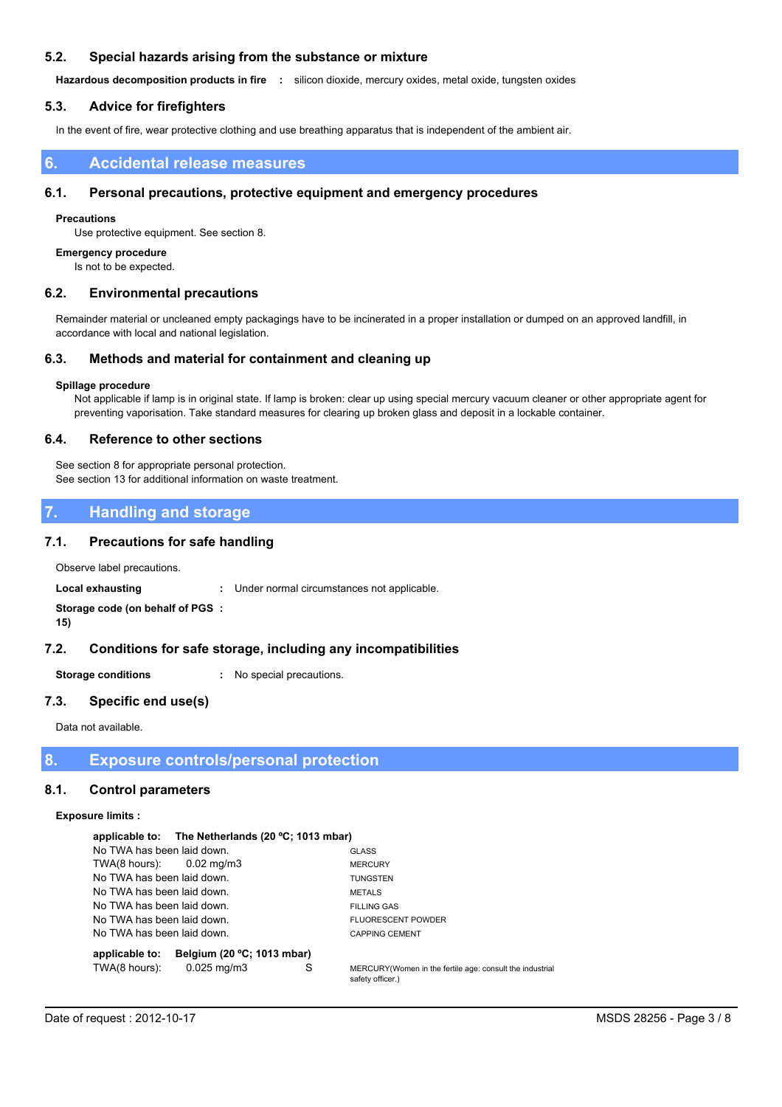#### $5.2.$ Special hazards arising from the substance or mixture

Hazardous decomposition products in fire : silicon dioxide, mercury oxides, metal oxide, tungsten oxides

#### **Advice for firefighters**  $5.3.$

In the event of fire, wear protective clothing and use breathing apparatus that is independent of the ambient air.

### **Accidental release measures** 6.

#### $6.1.$ Personal precautions, protective equipment and emergency procedures

### **Precautions**

Use protective equipment. See section 8.

### **Emergency procedure**

Is not to be expected.

#### $6.2.$ **Environmental precautions**

Remainder material or uncleaned empty packagings have to be incinerated in a proper installation or dumped on an approved landfill, in accordance with local and national legislation.

#### $6.3.$ Methods and material for containment and cleaning up

### Spillage procedure

Not applicable if lamp is in original state. If lamp is broken: clear up using special mercury vacuum cleaner or other appropriate agent for preventing vaporisation. Take standard measures for clearing up broken glass and deposit in a lockable container.

#### $6.4.$ **Reference to other sections**

See section 8 for appropriate personal protection. See section 13 for additional information on waste treatment.

### **Handling and storage**  $\overline{7}$ .

#### $7.1.$ **Precautions for safe handling**

Observe label precautions.

**Local exhausting** : Under normal circumstances not applicable.

### Storage code (on behalf of PGS :  $15)$

#### $7.2.$ Conditions for safe storage, including any incompatibilities

**Storage conditions** : No special precautions.

#### $7.3.$ Specific end use(s)

Data not available.

8. **Exposure controls/personal protection** 

#### $8.1.$ **Control parameters**

### **Exposure limits:**

|                            | applicable to: The Netherlands (20 °C; 1013 mbar) |   |                                                                              |
|----------------------------|---------------------------------------------------|---|------------------------------------------------------------------------------|
| No TWA has been laid down. |                                                   |   | <b>GLASS</b>                                                                 |
| $TWA(8 hours):$ 0.02 mg/m3 |                                                   |   | <b>MERCURY</b>                                                               |
| No TWA has been laid down. |                                                   |   | <b>TUNGSTEN</b>                                                              |
| No TWA has been laid down. |                                                   |   | <b>METALS</b>                                                                |
| No TWA has been laid down. |                                                   |   | <b>FILLING GAS</b>                                                           |
| No TWA has been laid down. |                                                   |   | <b>FLUORESCENT POWDER</b>                                                    |
| No TWA has been laid down. |                                                   |   | <b>CAPPING CEMENT</b>                                                        |
| applicable to:             | Belgium (20 °C; 1013 mbar)                        |   |                                                                              |
| TWA(8 hours):              | $0.025 \,\mathrm{mq/m}$                           | S | MERCURY (Women in the fertile age: consult the industrial<br>eafaty officer) |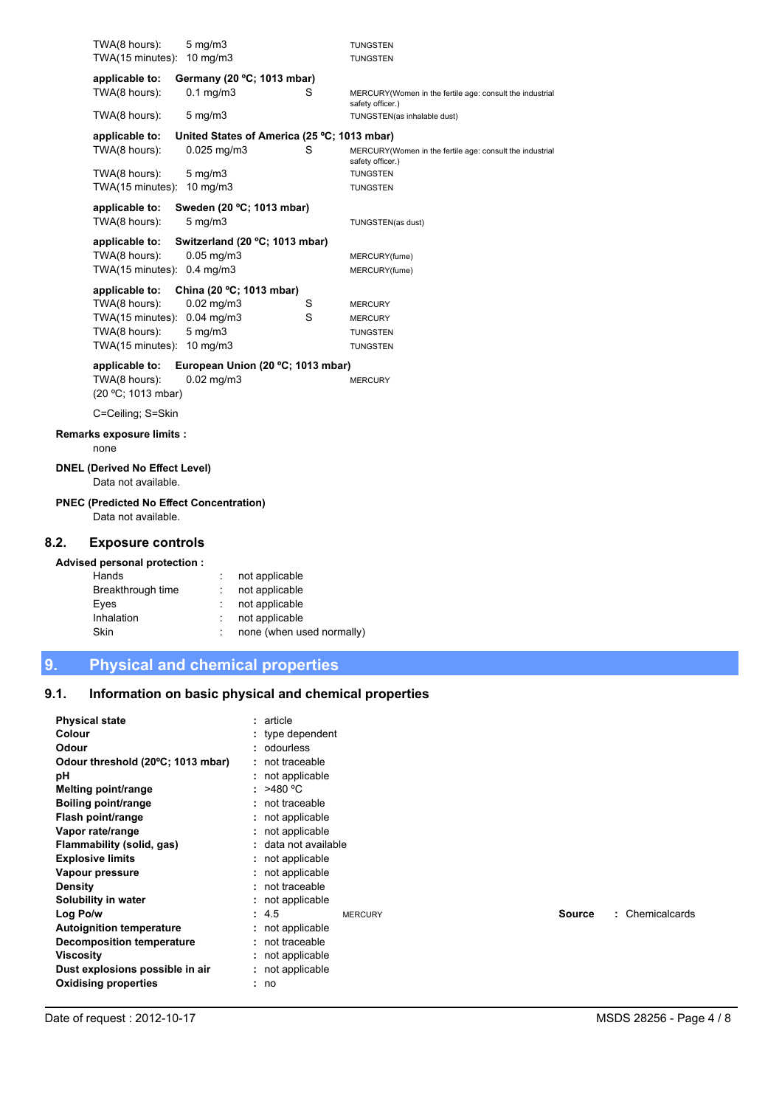|     | TWA(8 hours):                                                          | $5 \text{ mg/m}$                            |   | <b>TUNGSTEN</b>                                                              |
|-----|------------------------------------------------------------------------|---------------------------------------------|---|------------------------------------------------------------------------------|
|     | TWA(15 minutes): 10 mg/m3                                              |                                             |   | <b>TUNGSTEN</b>                                                              |
|     | applicable to:                                                         | Germany (20 °C; 1013 mbar)                  |   |                                                                              |
|     | TWA(8 hours):                                                          | $0.1 \text{ mg/m}$                          | S | MERCURY(Women in the fertile age: consult the industrial<br>safety officer.) |
|     | TWA(8 hours):                                                          | $5 \text{ mg/m}$                            |   | TUNGSTEN(as inhalable dust)                                                  |
|     | applicable to:                                                         | United States of America (25 °C; 1013 mbar) |   |                                                                              |
|     | TWA(8 hours):                                                          | 0.025 mg/m3                                 | S | MERCURY(Women in the fertile age: consult the industrial<br>safety officer.) |
|     | TWA(8 hours):                                                          | $5 \text{ mg/m}$                            |   | <b>TUNGSTEN</b>                                                              |
|     | TWA(15 minutes): 10 mg/m3                                              |                                             |   | <b>TUNGSTEN</b>                                                              |
|     | applicable to:                                                         | Sweden (20 °C; 1013 mbar)                   |   |                                                                              |
|     | TWA(8 hours):                                                          | $5 \text{ mg/m}$                            |   | TUNGSTEN(as dust)                                                            |
|     | applicable to:                                                         | Switzerland (20 °C; 1013 mbar)              |   |                                                                              |
|     | TWA(8 hours):                                                          | $0.05$ mg/m $3$                             |   | MERCURY(fume)                                                                |
|     | TWA(15 minutes): 0.4 mg/m3                                             |                                             |   | MERCURY(fume)                                                                |
|     | applicable to:                                                         | China (20 °C; 1013 mbar)                    |   |                                                                              |
|     | TWA(8 hours):                                                          | 0.02 mg/m3                                  | S | <b>MERCURY</b>                                                               |
|     | TWA(15 minutes):                                                       | $0.04$ mg/m $3$                             | S | <b>MERCURY</b>                                                               |
|     | TWA(8 hours):                                                          | $5 \text{ mg/m}$                            |   | <b>TUNGSTEN</b>                                                              |
|     | TWA(15 minutes): 10 mg/m3                                              |                                             |   | <b>TUNGSTEN</b>                                                              |
|     | applicable to:<br>European Union (20 °C; 1013 mbar)                    |                                             |   |                                                                              |
|     | TWA(8 hours):<br>(20 °C; 1013 mbar)                                    | $0.02$ mg/m $3$                             |   | <b>MERCURY</b>                                                               |
|     | C=Ceiling; S=Skin                                                      |                                             |   |                                                                              |
|     | Remarks exposure limits :<br>none                                      |                                             |   |                                                                              |
|     | <b>DNEL (Derived No Effect Level)</b>                                  |                                             |   |                                                                              |
|     | Data not available.                                                    |                                             |   |                                                                              |
|     | <b>PNEC (Predicted No Effect Concentration)</b><br>Data not available. |                                             |   |                                                                              |
| .2. | <b>Exposure controls</b>                                               |                                             |   |                                                                              |
|     | Advised personal protection :                                          |                                             |   |                                                                              |
|     | Hands                                                                  | not applicable                              |   |                                                                              |
|     | Breakthrough time                                                      | not applicable                              |   |                                                                              |
|     | Eyes                                                                   | not applicable                              |   |                                                                              |
|     | Inhalation                                                             | not applicable                              |   |                                                                              |
|     | Skin                                                                   | none (when used normally)                   |   |                                                                              |

9. **Physical and chemical properties** 

 $8.2.$ 

### Information on basic physical and chemical properties  $9.1.$

| <b>Physical state</b><br><b>Colour</b><br><b>Odour</b><br>Odour threshold (20°C; 1013 mbar)<br>рH<br><b>Melting point/range</b><br>Boiling point/range<br>Flash point/range<br>Vapor rate/range<br>Flammability (solid, gas)<br><b>Explosive limits</b><br>Vapour pressure | : article<br>$:$ type dependent<br>: odourless<br>: not traceable<br>: not applicable<br>: $>480^{\circ}$ C<br>$:$ not traceable<br>: not applicable<br>: not applicable<br>: data not available<br>: not applicable<br>: not applicable |                           |
|----------------------------------------------------------------------------------------------------------------------------------------------------------------------------------------------------------------------------------------------------------------------------|------------------------------------------------------------------------------------------------------------------------------------------------------------------------------------------------------------------------------------------|---------------------------|
| <b>Density</b><br>Solubility in water                                                                                                                                                                                                                                      | $:$ not traceable<br>: not applicable                                                                                                                                                                                                    |                           |
| Log Po/w<br><b>Autoignition temperature</b><br>Decomposition temperature<br>Viscosity<br>Dust explosions possible in air<br><b>Oxidising properties</b>                                                                                                                    | : 4.5<br><b>MERCURY</b><br>: not applicable<br>: not traceable<br>: not applicable<br>: not applicable<br>: no                                                                                                                           | : Chemicalcards<br>Source |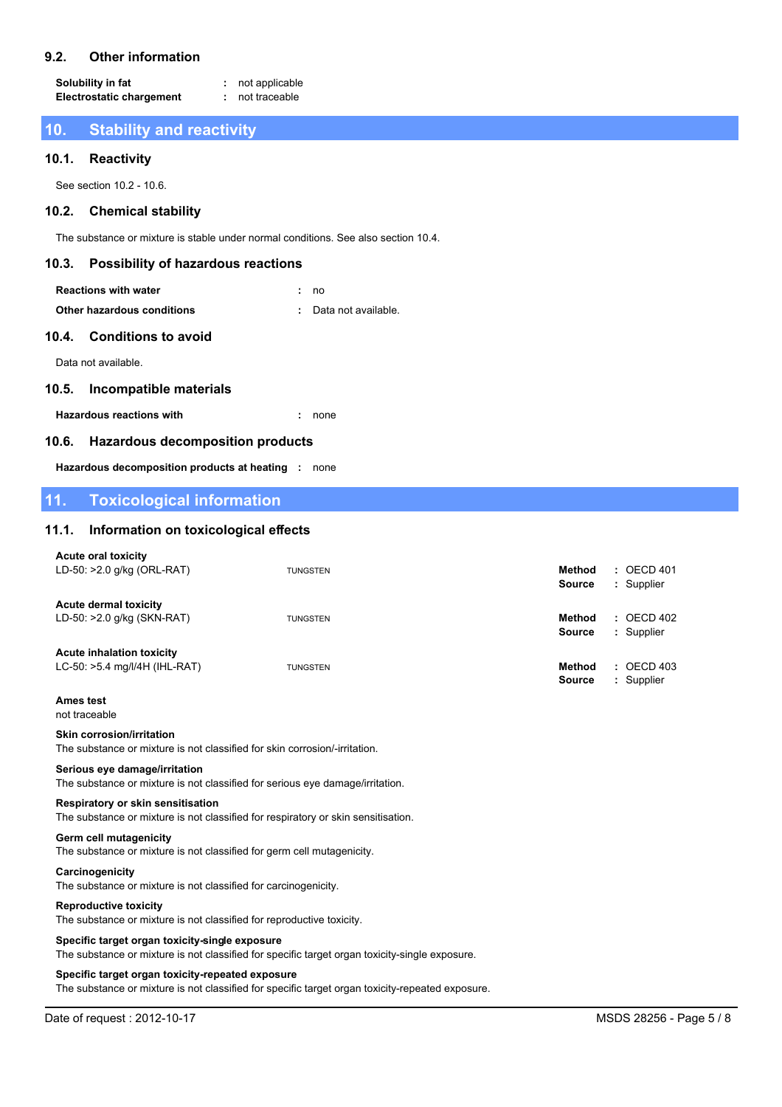#### $9.2.$ **Other information**

Solubility in fat : not applicable **Electrostatic chargement** : not traceable

### $10<sub>1</sub>$ **Stability and reactivity**

#### **Reactivity**  $10.1.$

See section 10.2 - 10.6.

#### $10.2.$ **Chemical stability**

The substance or mixture is stable under normal conditions. See also section 10.4.

#### $10.3.$ **Possibility of hazardous reactions**

| <b>Reactions with water</b> | : no                  |  |
|-----------------------------|-----------------------|--|
| Other hazardous conditions  | : Data not available. |  |

# Other hazardous conditions

#### $10.4.$ **Conditions to avoid**

Data not available.

#### $10.5.$ **Incompatible materials**

**Hazardous reactions with** 

 $. none$ 

#### **Hazardous decomposition products**  $10.6.$

Hazardous decomposition products at heating : none

### $11.$ **Toxicological information**

#### Information on toxicological effects  $11.1.$

| <b>Acute oral toxicity</b><br>LD-50: >2.0 g/kg (ORL-RAT)                              | <b>TUNGSTEN</b> | $:$ OECD 401<br><b>Method</b><br><b>Source</b><br>: Supplier          |
|---------------------------------------------------------------------------------------|-----------------|-----------------------------------------------------------------------|
| <b>Acute dermal toxicity</b><br>LD-50: >2.0 g/kg (SKN-RAT)                            | <b>TUNGSTEN</b> | $\therefore$ OECD 402<br><b>Method</b><br><b>Source</b><br>: Supplier |
| <b>Acute inhalation toxicity</b><br>LC-50: >5.4 mg/l/4H (IHL-RAT)<br><b>Ames test</b> | <b>TUNGSTEN</b> | $:$ OECD 403<br><b>Method</b><br>: Supplier<br><b>Source</b>          |
|                                                                                       |                 |                                                                       |

# not traceable

# **Skin corrosion/irritation**

The substance or mixture is not classified for skin corrosion/-irritation.

### Serious eye damage/irritation

The substance or mixture is not classified for serious eye damage/irritation.

### Respiratory or skin sensitisation

The substance or mixture is not classified for respiratory or skin sensitisation.

# **Germ cell mutagenicity**

The substance or mixture is not classified for germ cell mutagenicity.

### Carcinogenicity The substance or mixture is not classified for carcinogenicity.

### **Reproductive toxicity**

The substance or mixture is not classified for reproductive toxicity.

### Specific target organ toxicity-single exposure

The substance or mixture is not classified for specific target organ toxicity-single exposure.

### Specific target organ toxicity-repeated exposure

The substance or mixture is not classified for specific target organ toxicity-repeated exposure.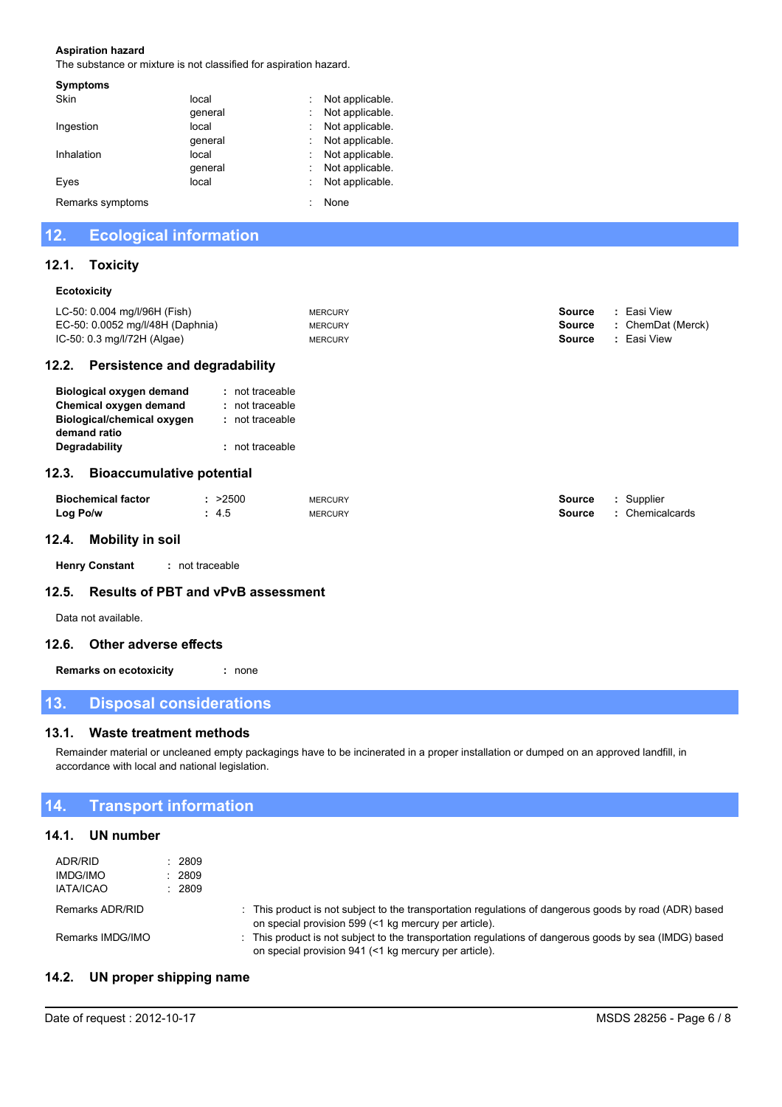### **Aspiration hazard**

The substance or mixture is not classified for aspiration hazard.

| local   | Not applicable |
|---------|----------------|
| qeneral | Not applicable |
| local   | Not applicable |
| qeneral | Not applicable |
| local   | Not applicable |
| qeneral | Not applicable |
| local   | Not applicable |
|         | None           |
|         |                |

### **Ecological information**  $12.$

#### $12.1.$ **Toxicity**

### Ecotoxicity

| 12 2<br>Doreictonco and dogradability |                |        |                   |
|---------------------------------------|----------------|--------|-------------------|
| $IC-50: 0.3$ mg/l/72H (Algae)         | <b>MERCURY</b> | Source | : Easi View       |
| EC-50: 0.0052 mg/l/48H (Daphnia)      | <b>MERCURY</b> | Source | : ChemDat (Merck) |
| LC-50: 0.004 mg/l/96H (Fish)          | <b>MERCURY</b> | Source | Easi View         |
|                                       |                |        |                   |

# 12.2. Persistence and degradability

| <b>Biological oxygen demand</b> | : not traceable |
|---------------------------------|-----------------|
| Chemical oxygen demand          | : not traceable |
| Biological/chemical oxygen      | : not traceable |
| demand ratio                    |                 |
| Degradability                   | : not traceable |
|                                 |                 |

# 12.3. Bioaccumulative potential

| <b>Biochemical factor</b> | : >2500 | <b>MERCURY</b> | Source | : Supplier      |
|---------------------------|---------|----------------|--------|-----------------|
| Log Po/w                  | 4.5     | <b>MERCURY</b> | Source | : Chemicalcards |

# 12.4. Mobility in soil

: not traceable **Henry Constant** 

#### **Results of PBT and vPvB assessment**  $12.5.$

Data not available.

# 12.6. Other adverse effects

**Remarks on ecotoxicity** : none

### $13.$ **Disposal considerations**

#### $13.1.$ **Waste treatment methods**

Remainder material or uncleaned empty packagings have to be incinerated in a proper installation or dumped on an approved landfill, in accordance with local and national legislation.

### $14.$ **Transport information**

# 14.1. UN number

| ADR/RID<br><b>IMDG/IMO</b><br><b>IATA/ICAO</b> | 2809<br>2809<br>: 2809 |                                                                                                                                                                 |
|------------------------------------------------|------------------------|-----------------------------------------------------------------------------------------------------------------------------------------------------------------|
| Remarks ADR/RID                                |                        | : This product is not subject to the transportation regulations of dangerous goods by road (ADR) based<br>on special provision 599 (<1 kg mercury per article). |
| Remarks IMDG/IMO                               |                        | : This product is not subject to the transportation regulations of dangerous goods by sea (IMDG) based<br>on special provision 941 (<1 kg mercury per article). |

#### UN proper shipping name  $14.2.$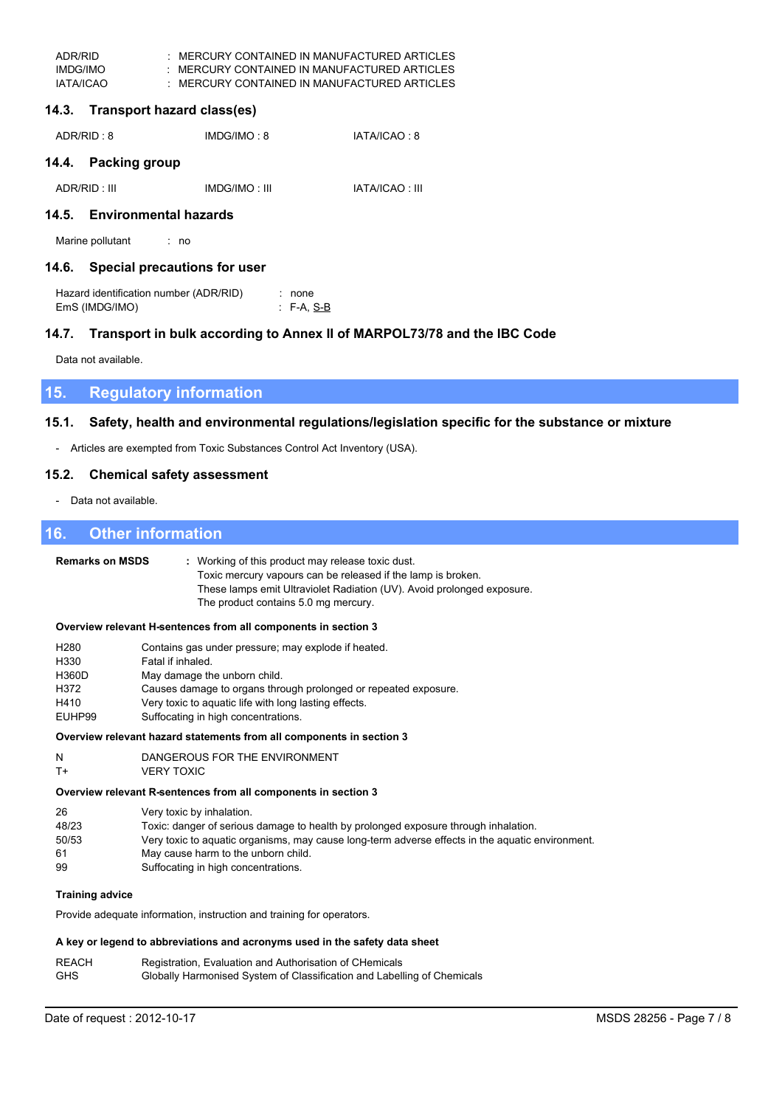| ADR/RID   | MERCURY CONTAINED IN MANUFACTURED ARTICLES |
|-----------|--------------------------------------------|
| IMDG/IMO  | MERCURY CONTAINED IN MANUFACTURED ARTICLES |
| IATA/ICAO | MERCURY CONTAINED IN MANUFACTURED ARTICLES |

# 14.3. Transport hazard class(es)

| ADR/RID : 8 | IMDG/IMO: 8 | IATA/ICAO: 8 |
|-------------|-------------|--------------|
|             |             |              |

# 14.4. Packing group

| ADR/RID: III | IMDG/IMO: III | <b>IATA/ICAO: III</b> |
|--------------|---------------|-----------------------|
|              |               |                       |

# 14.5. Environmental hazards

Marine pollutant  $\cdot$  no

# 14.6. Special precautions for user

| Hazard identification number (ADR/RID) | : none           |
|----------------------------------------|------------------|
| EmS (IMDG/IMO)                         | $\cdot$ F-A, S-B |

# 14.7. Transport in bulk according to Annex II of MARPOL73/78 and the IBC Code

Data not available.

### **Regulatory information** 15.

#### Safety, health and environmental regulations/legislation specific for the substance or mixture  $15.1.$

- Articles are exempted from Toxic Substances Control Act Inventory (USA).

#### **Chemical safety assessment**  $15.2.$

- Data not available.

### 16. **Other information**

| <b>Remarks on MSDS</b>                                      | : Working of this product may release toxic dust.<br>Toxic mercury vapours can be released if the lamp is broken.<br>These lamps emit Ultraviolet Radiation (UV). Avoid prolonged exposure.<br>The product contains 5.0 mg mercury.                                                                |
|-------------------------------------------------------------|----------------------------------------------------------------------------------------------------------------------------------------------------------------------------------------------------------------------------------------------------------------------------------------------------|
|                                                             | Overview relevant H-sentences from all components in section 3                                                                                                                                                                                                                                     |
| H <sub>280</sub><br>H330<br>H360D<br>H372<br>H410<br>EUHP99 | Contains gas under pressure; may explode if heated.<br>Fatal if inhaled.<br>May damage the unborn child.<br>Causes damage to organs through prolonged or repeated exposure.<br>Very toxic to aquatic life with long lasting effects.<br>Suffocating in high concentrations.                        |
|                                                             | Overview relevant hazard statements from all components in section 3                                                                                                                                                                                                                               |
| N<br>$T+$                                                   | DANGEROUS FOR THE ENVIRONMENT<br><b>VERY TOXIC</b>                                                                                                                                                                                                                                                 |
|                                                             | Overview relevant R-sentences from all components in section 3                                                                                                                                                                                                                                     |
| 26<br>48/23<br>50/53<br>61<br>99                            | Very toxic by inhalation.<br>Toxic: danger of serious damage to health by prolonged exposure through inhalation.<br>Very toxic to aquatic organisms, may cause long-term adverse effects in the aquatic environment.<br>May cause harm to the unborn child.<br>Suffocating in high concentrations. |
| <b>Training advice</b>                                      |                                                                                                                                                                                                                                                                                                    |
|                                                             | Provide adequate information, instruction and training for operators.                                                                                                                                                                                                                              |
|                                                             | A key or legend to abbreviations and acronyms used in the safety data sheet                                                                                                                                                                                                                        |
| <b>REACH</b>                                                | Registration, Evaluation and Authorisation of CHemicals                                                                                                                                                                                                                                            |

| .          |                                                                         |
|------------|-------------------------------------------------------------------------|
| <b>GHS</b> | Globally Harmonised System of Classification and Labelling of Chemicals |